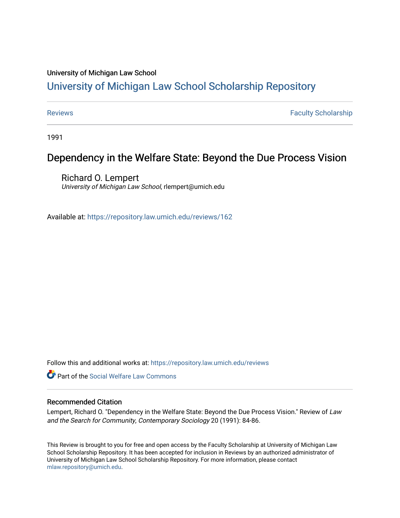### University of Michigan Law School

## [University of Michigan Law School Scholarship Repository](https://repository.law.umich.edu/)

[Reviews](https://repository.law.umich.edu/reviews) **Faculty Scholarship Faculty Scholarship Faculty Scholarship** 

1991

# Dependency in the Welfare State: Beyond the Due Process Vision

Richard O. Lempert University of Michigan Law School, rlempert@umich.edu

Available at: <https://repository.law.umich.edu/reviews/162>

Follow this and additional works at: [https://repository.law.umich.edu/reviews](https://repository.law.umich.edu/reviews?utm_source=repository.law.umich.edu%2Freviews%2F162&utm_medium=PDF&utm_campaign=PDFCoverPages) 

**C** Part of the [Social Welfare Law Commons](http://network.bepress.com/hgg/discipline/878?utm_source=repository.law.umich.edu%2Freviews%2F162&utm_medium=PDF&utm_campaign=PDFCoverPages)

#### Recommended Citation

Lempert, Richard O. "Dependency in the Welfare State: Beyond the Due Process Vision." Review of Law and the Search for Community, Contemporary Sociology 20 (1991): 84-86.

This Review is brought to you for free and open access by the Faculty Scholarship at University of Michigan Law School Scholarship Repository. It has been accepted for inclusion in Reviews by an authorized administrator of University of Michigan Law School Scholarship Repository. For more information, please contact [mlaw.repository@umich.edu.](mailto:mlaw.repository@umich.edu)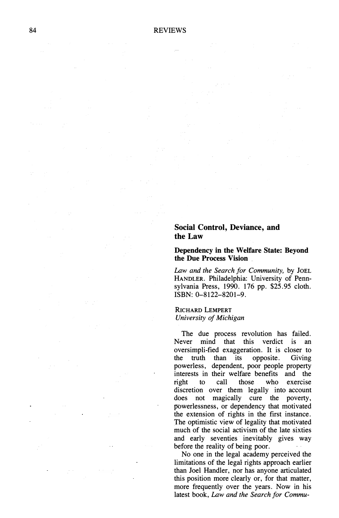#### **Social Control, Deviance, and the Law**

#### **Dependency in the Welfare State: Beyond the Due Process Vision**

*Law and the Search for Community,* by JOEL HANDLER. Philadelphia: University of Pennsylvania Press, 1990. 176 pp. \$25.95 cloth. ISBN: 0-8122-8201-9.

#### RICHARD LEMPERT *University of Michigan*

The due process revolution has failed. Never mind that this verdict is an oversimpli-fied exaggeration. It is closer to the truth than its opposite. Giving powerless, dependent, poor people property interests in their welfare benefits and the right to call those who exercise discretion over them legally into account does not magically cure the poverty, powerlessness, or dependency that motivated the extension of rights in the first instance. The optimistic view of legality that motivated much of the social activism of the late sixties and early seventies inevitably gives way before the reality of being poor.

No one in the legal academy perceived the limitations of the legal rights approach earlier than Joel Handler, nor has anyone articulated this position more clearly or, for that matter, more frequently over the years. Now in his latest book, *Law and the Search for Commu-*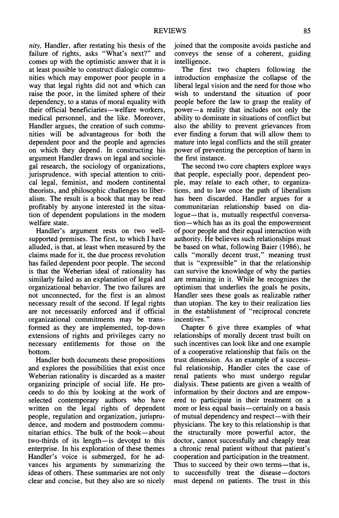*nity,* Handler, after restating his thesis of the failure of rights, asks "What's next?" and comes up with the optimistic answer that it is at least possible to construct dialogic communities which may empower poor people in a way that legal rights did not and which can raise the poor, in the limited sphere of their dependency, to a status of moral equality with their official beneficiaries-welfare workers, medical personnel, and the like. Moreover, Handler argues, the creation of such communities will be advantageous for both the dependent poor and the people and agencies on which they depend. In constructing his argument Handler draws on legal and sociolegal research, the sociology of organizations, jurisprudence, with special attention to critical legal, feminist, and modem continental theorists, and philosophic challenges to liberalism. The result is a book that may be read profitably by anyone interested in the situation of dependent populations in the modem welfare state.

Handler's argument rests on two wellsupported premises. The first, to which I have alluded, is that, at least when measured by the claims made for it, the due process revolution has failed dependent poor people. The second is that the Weberian ideal of rationality has similarly failed as an explanation of legal and organizational behavior. The two failures are not unconnected, for the first is an almost necessary result of the second. If legal rights are not necessarily enforced and if official organizational commitments may be transformed as they are implemented, top-down extensions of rights and privileges carry no necessary entitlements for those on the bottom.

Handler both documents these propositions and explores the possibilities that exist once Weberian rationality is discarded as a master organizing principle of social life. He proceeds to do this by looking at the work of selected contemporary authors who have written on the legal rights of dependent people, regulation and organization, jurisprudence, and modem and postmodern communitarian ethics. The bulk of the book-about two-thirds of its length $-\text{is}$  devoted to this enterprise. In his exploration of these themes Handler's voice is submerged, for he advances his arguments by summarizing the ideas of others. These summaries are not only clear and concise, but they also are so nicely joined that the composite avoids pastiche and conveys the sense of a coherent, guiding intelligence.

The first two chapters following the introduction emphasize the collapse of the liberal legal vision and the need for those who wish to understand the situation of poor people before the law to grasp the reality of power-a reality that includes not only the ability to dominate in situations of conflict but also the ability to prevent grievances from ever finding a forum that will allow them to mature into legal conflicts and the still greater power of preventing the perception of harm in the first instance.

The second two core chapters explore ways that people, especially poor, dependent people, may relate to each other, to organizations, and to law once the path of liberalism has been discarded. Handler argues for a communitarian relationship based on dialogue-that is, mutually respectful conversation — which has as its goal the empowerment of poor people and their equal interaction with authority. He believes such relationships must be based on what, following Baier (1986), he calls "morally decent trust," meaning trust that is "expressible" in that the relationship can survive the knowledge of why the parties are remaining in it. While he recognizes the optimism that underlies the goals he posits, Handler sees these goals as realizable rather than utopian. The key to their realization lies in the establishment of "reciprocal concrete incentives."

Chapter 6 give three examples of what relationships of morally decent trust built on such incentives can look like and one example of a cooperative relationship that fails on the trust dimension. As an example of a successful relationship, Handler cites the case of renal patients who must undergo regular dialysis. These patients are given a wealth of information by their doctors and are empowered to participate in their treatment on a more or less equal basis—certainly on a basis of mutual dependency and respect—with their physicians. The key to this relationship is that the structurally more powerful actor, the doctor, cannot successfully and cheaply treat a chronic renal patient without that patient's cooperation and participation in the treatment. Thus to succeed by their own terms—that is, to successfully treat the disease-doctors must depend on patients. The trust in this